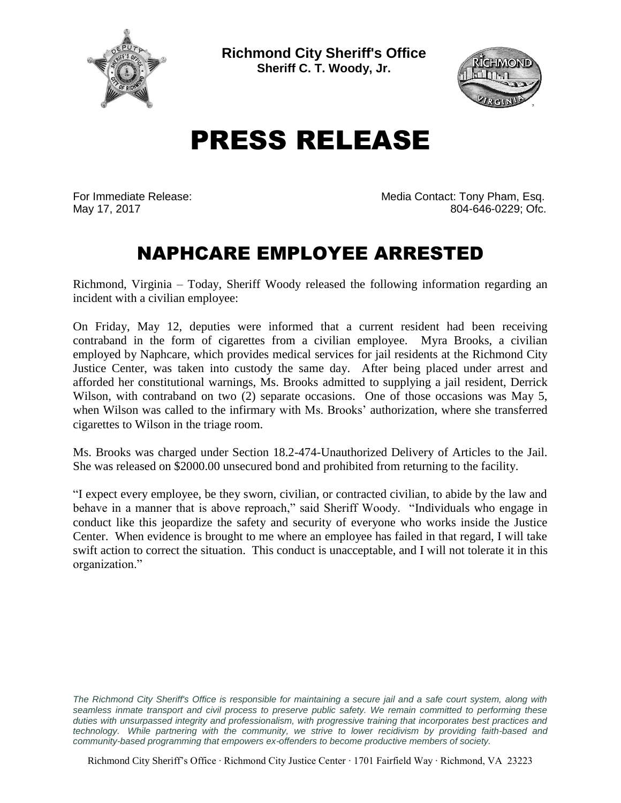

**Richmond City Sheriff's Office Sheriff C. T. Woody, Jr.**



## PRESS RELEASE

For Immediate Release: Media Contact: Tony Pham, Esq.<br>May 17, 2017 May 17, 2017 804-646-0229; Ofc.

## NAPHCARE EMPLOYEE ARRESTED

Richmond, Virginia – Today, Sheriff Woody released the following information regarding an incident with a civilian employee:

On Friday, May 12, deputies were informed that a current resident had been receiving contraband in the form of cigarettes from a civilian employee. Myra Brooks, a civilian employed by Naphcare, which provides medical services for jail residents at the Richmond City Justice Center, was taken into custody the same day. After being placed under arrest and afforded her constitutional warnings, Ms. Brooks admitted to supplying a jail resident, Derrick Wilson, with contraband on two (2) separate occasions. One of those occasions was May 5, when Wilson was called to the infirmary with Ms. Brooks' authorization, where she transferred cigarettes to Wilson in the triage room.

Ms. Brooks was charged under Section 18.2-474-Unauthorized Delivery of Articles to the Jail. She was released on \$2000.00 unsecured bond and prohibited from returning to the facility.

"I expect every employee, be they sworn, civilian, or contracted civilian, to abide by the law and behave in a manner that is above reproach," said Sheriff Woody. "Individuals who engage in conduct like this jeopardize the safety and security of everyone who works inside the Justice Center. When evidence is brought to me where an employee has failed in that regard, I will take swift action to correct the situation. This conduct is unacceptable, and I will not tolerate it in this organization."

The Richmond City Sheriff's Office is responsible for maintaining a secure jail and a safe court system, along with *seamless inmate transport and civil process to preserve public safety. We remain committed to performing these duties with unsurpassed integrity and professionalism, with progressive training that incorporates best practices and technology. While partnering with the community, we strive to lower recidivism by providing faith-based and community-based programming that empowers ex-offenders to become productive members of society.*